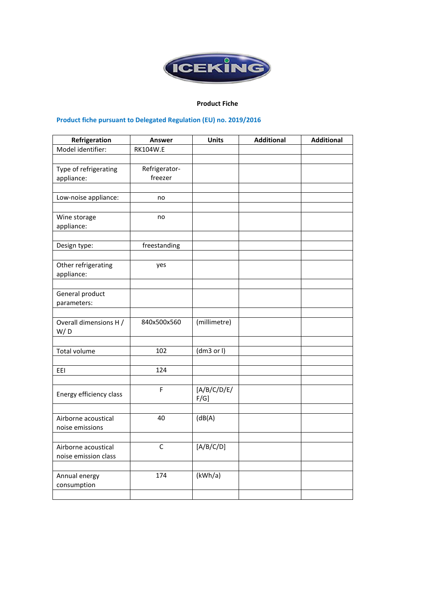

## **Product Fiche**

## **Product fiche pursuant to Delegated Regulation (EU) no. 2019/2016**

| Refrigeration                  | Answer          | <b>Units</b> | <b>Additional</b> | <b>Additional</b> |
|--------------------------------|-----------------|--------------|-------------------|-------------------|
| Model identifier:              | <b>RK104W.E</b> |              |                   |                   |
|                                |                 |              |                   |                   |
| Type of refrigerating          | Refrigerator-   |              |                   |                   |
| appliance:                     | freezer         |              |                   |                   |
|                                |                 |              |                   |                   |
| Low-noise appliance:           | no              |              |                   |                   |
|                                |                 |              |                   |                   |
| Wine storage                   | no              |              |                   |                   |
| appliance:                     |                 |              |                   |                   |
|                                |                 |              |                   |                   |
| Design type:                   | freestanding    |              |                   |                   |
|                                |                 |              |                   |                   |
| Other refrigerating            | yes             |              |                   |                   |
| appliance:                     |                 |              |                   |                   |
|                                |                 |              |                   |                   |
| General product<br>parameters: |                 |              |                   |                   |
|                                |                 |              |                   |                   |
| Overall dimensions H /         | 840x500x560     | (millimetre) |                   |                   |
| W/D                            |                 |              |                   |                   |
|                                |                 |              |                   |                   |
| <b>Total volume</b>            | 102             | (dm3 or l)   |                   |                   |
|                                |                 |              |                   |                   |
| EEI                            | 124             |              |                   |                   |
|                                |                 |              |                   |                   |
|                                | F               | [A/B/C/D/E/  |                   |                   |
| Energy efficiency class        |                 | $F/G$ ]      |                   |                   |
|                                |                 |              |                   |                   |
| Airborne acoustical            | 40              | (dB(A))      |                   |                   |
| noise emissions                |                 |              |                   |                   |
|                                |                 |              |                   |                   |
| Airborne acoustical            | $\mathsf{C}$    | [A/B/C/D]    |                   |                   |
| noise emission class           |                 |              |                   |                   |
|                                |                 |              |                   |                   |
| Annual energy                  | 174             | (kWh/a)      |                   |                   |
| consumption                    |                 |              |                   |                   |
|                                |                 |              |                   |                   |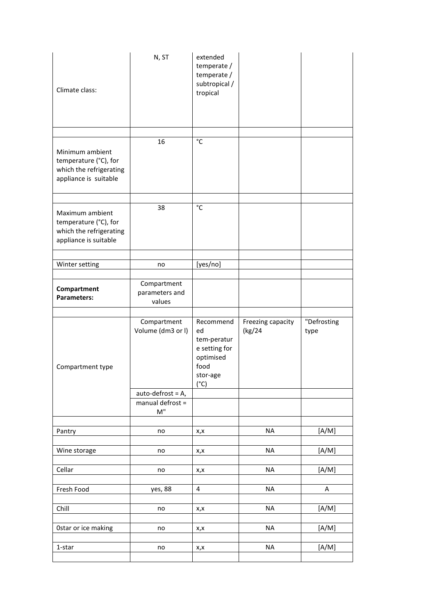| Climate class:                                                                               | N, ST                                   | extended<br>temperate /<br>temperate /<br>subtropical /<br>tropical                               |                             |                     |
|----------------------------------------------------------------------------------------------|-----------------------------------------|---------------------------------------------------------------------------------------------------|-----------------------------|---------------------|
|                                                                                              | 16                                      | $\rm ^{\circ}C$                                                                                   |                             |                     |
| Minimum ambient<br>temperature (°C), for<br>which the refrigerating<br>appliance is suitable |                                         |                                                                                                   |                             |                     |
|                                                                                              |                                         | $^{\circ}{\rm C}$                                                                                 |                             |                     |
| Maximum ambient<br>temperature (°C), for<br>which the refrigerating<br>appliance is suitable | 38                                      |                                                                                                   |                             |                     |
|                                                                                              |                                         |                                                                                                   |                             |                     |
| Winter setting                                                                               | no                                      | [yes/no]                                                                                          |                             |                     |
| Compartment<br>Parameters:                                                                   | Compartment<br>parameters and<br>values |                                                                                                   |                             |                     |
|                                                                                              |                                         |                                                                                                   |                             |                     |
| Compartment type                                                                             | Compartment<br>Volume (dm3 or I)        | Recommend<br>ed<br>tem-peratur<br>e setting for<br>optimised<br>food<br>stor-age<br>$(^{\circ}C)$ | Freezing capacity<br>(kg/24 | "Defrosting<br>type |
|                                                                                              | $auto-defrost = A,$                     |                                                                                                   |                             |                     |
|                                                                                              | manual defrost =<br>M"                  |                                                                                                   |                             |                     |
|                                                                                              |                                         |                                                                                                   |                             |                     |
| Pantry                                                                                       | no                                      | x,x                                                                                               | <b>NA</b>                   | [A/M]               |
| Wine storage                                                                                 | no                                      | x,x                                                                                               | <b>NA</b>                   | [A/M]               |
| Cellar                                                                                       | no                                      | x,x                                                                                               | <b>NA</b>                   | [A/M]               |
|                                                                                              |                                         |                                                                                                   |                             |                     |
| Fresh Food                                                                                   | yes, 88                                 | $\overline{4}$                                                                                    | <b>NA</b>                   | A                   |
| Chill                                                                                        | no                                      | x,x                                                                                               | <b>NA</b>                   | [A/M]               |
|                                                                                              |                                         |                                                                                                   |                             |                     |
| Ostar or ice making                                                                          | no                                      | x,x                                                                                               | <b>NA</b>                   | [A/M]               |
| 1-star                                                                                       | no                                      | x,x                                                                                               | NA                          | [A/M]               |